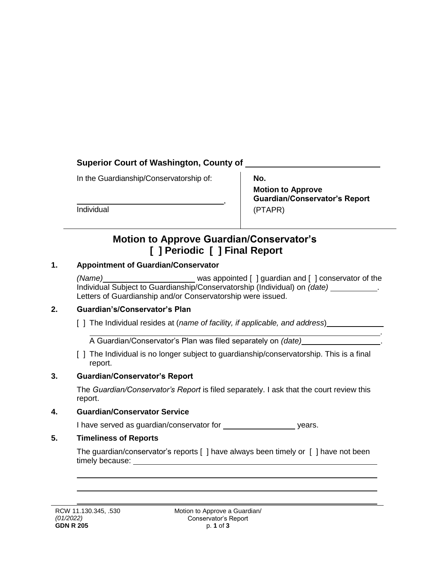## **Superior Court of Washington, County of**

In the Guardianship/Conservatorship of:

Individual

**No.** 

**Motion to Approve Guardian/Conservator's Report** (PTAPR)

*.*

# **Motion to Approve Guardian/Conservator's [ ] Periodic [ ] Final Report**

,

## **1. Appointment of Guardian/Conservator**

*(Name)* was appointed [ ] guardian and [ ] conservator of the Individual Subject to Guardianship/Conservatorship (Individual) on *(date)* . Letters of Guardianship and/or Conservatorship were issued.

### **2. Guardian's/Conservator's Plan**

[ ] The Individual resides at (*name of facility, if applicable, and address*)

A Guardian/Conservator's Plan was filed separately on *(date)* .

[ ] The Individual is no longer subject to quardianship/conservatorship. This is a final report.

### **3. Guardian/Conservator's Report**

The *Guardian/Conservator's Report* is filed separately. I ask that the court review this report.

#### **4. Guardian/Conservator Service**

I have served as guardian/conservator for years.

### **5. Timeliness of Reports**

The guardian/conservator's reports [ ] have always been timely or [ ] have not been timely because: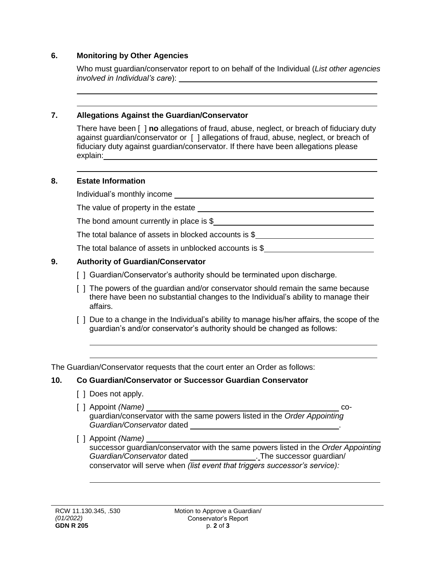#### **6. Monitoring by Other Agencies**

Who must guardian/conservator report to on behalf of the Individual (*List other agencies involved in Individual's care*):

#### **7. Allegations Against the Guardian/Conservator**

There have been [ ] **no** allegations of fraud, abuse, neglect, or breach of fiduciary duty against guardian/conservator or [ ] allegations of fraud, abuse, neglect, or breach of fiduciary duty against guardian/conservator. If there have been allegations please explain:

#### **8. Estate Information**

Individual's monthly income

The value of property in the estate

The bond amount currently in place is \$

The total balance of assets in blocked accounts is \$

The total balance of assets in unblocked accounts is \$

#### **9. Authority of Guardian/Conservator**

- [ ] Guardian/Conservator's authority should be terminated upon discharge.
- [ ] The powers of the guardian and/or conservator should remain the same because there have been no substantial changes to the Individual's ability to manage their affairs.
- [] Due to a change in the Individual's ability to manage his/her affairs, the scope of the guardian's and/or conservator's authority should be changed as follows:

The Guardian/Conservator requests that the court enter an Order as follows:

#### **10. Co Guardian/Conservator or Successor Guardian Conservator**

- [ ] Does not apply.
- [ ] Appoint *(Name)* coguardian/conservator with the same powers listed in the *Order Appointing Guardian/Conservator* dated .
- [ ] Appoint *(Name)*

successor guardian/conservator with the same powers listed in the *Order Appointing Guardian/Conservator* dated . The successor guardian/ conservator will serve when *(list event that triggers successor's service):*